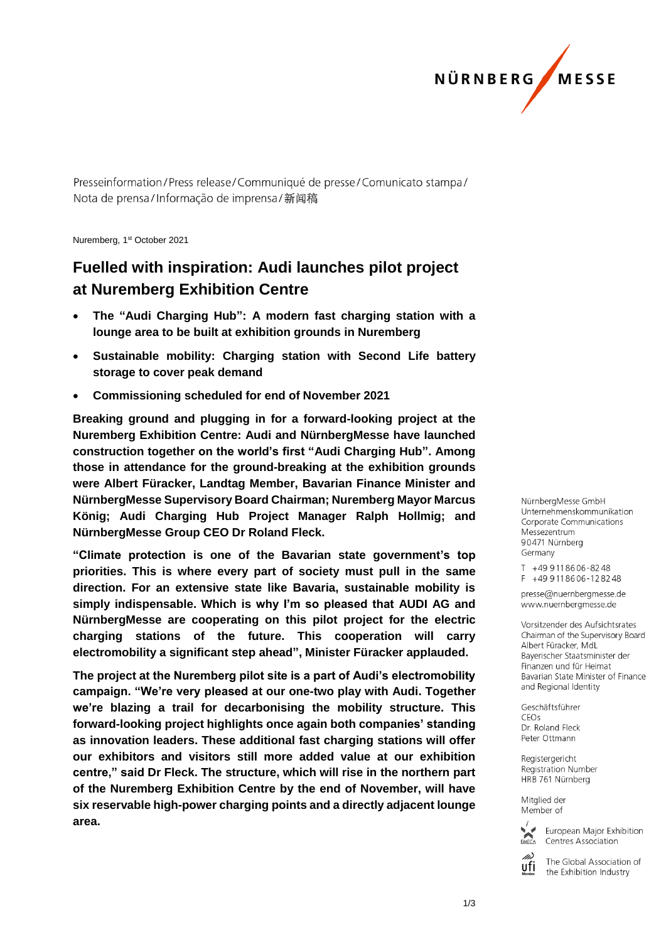

Presseinformation/Press release/Communiqué de presse/Comunicato stampa/ Nota de prensa/Informação de imprensa/新闻稿

Nuremberg, 1st October 2021

## **Fuelled with inspiration: Audi launches pilot project at Nuremberg Exhibition Centre**

- **The "Audi Charging Hub": A modern fast charging station with a lounge area to be built at exhibition grounds in Nuremberg**
- **Sustainable mobility: Charging station with Second Life battery storage to cover peak demand**
- **Commissioning scheduled for end of November 2021**

**Breaking ground and plugging in for a forward-looking project at the Nuremberg Exhibition Centre: Audi and NürnbergMesse have launched construction together on the world's first "Audi Charging Hub". Among those in attendance for the ground-breaking at the exhibition grounds were Albert Füracker, Landtag Member, Bavarian Finance Minister and NürnbergMesse Supervisory Board Chairman; Nuremberg Mayor Marcus König; Audi Charging Hub Project Manager Ralph Hollmig; and NürnbergMesse Group CEO Dr Roland Fleck.** 

**"Climate protection is one of the Bavarian state government's top priorities. This is where every part of society must pull in the same direction. For an extensive state like Bavaria, sustainable mobility is simply indispensable. Which is why I'm so pleased that AUDI AG and NürnbergMesse are cooperating on this pilot project for the electric charging stations of the future. This cooperation will carry electromobility a significant step ahead", Minister Füracker applauded.**

**The project at the Nuremberg pilot site is a part of Audi's electromobility campaign. "We're very pleased at our one-two play with Audi. Together we're blazing a trail for decarbonising the mobility structure. This forward-looking project highlights once again both companies' standing as innovation leaders. These additional fast charging stations will offer our exhibitors and visitors still more added value at our exhibition centre," said Dr Fleck. The structure, which will rise in the northern part of the Nuremberg Exhibition Centre by the end of November, will have six reservable high-power charging points and a directly adjacent lounge area.** 

NürnberaMesse GmbH Unternehmenskommunikation **Corporate Communications** Messezentrum 90471 Nürnberg Germany

T +49 911 86 06 - 82 48  $F + 499118606 - 128248$ 

presse@nuernbergmesse.de www.nuernbergmesse.de

Vorsitzender des Aufsichtsrates Chairman of the Supervisory Board Albert Füracker, MdL Bayerischer Staatsminister der Finanzen und für Heimat Bavarian State Minister of Finance and Regional Identity

Geschäftsführer  $CFOs$ Dr. Roland Fleck Peter Ottmann

Registergericht Registration Number HRB 761 Nürnberg

Mitglied der Member of



ufi

European Major Exhibition Centres Association

The Global Association of the Exhibition Industry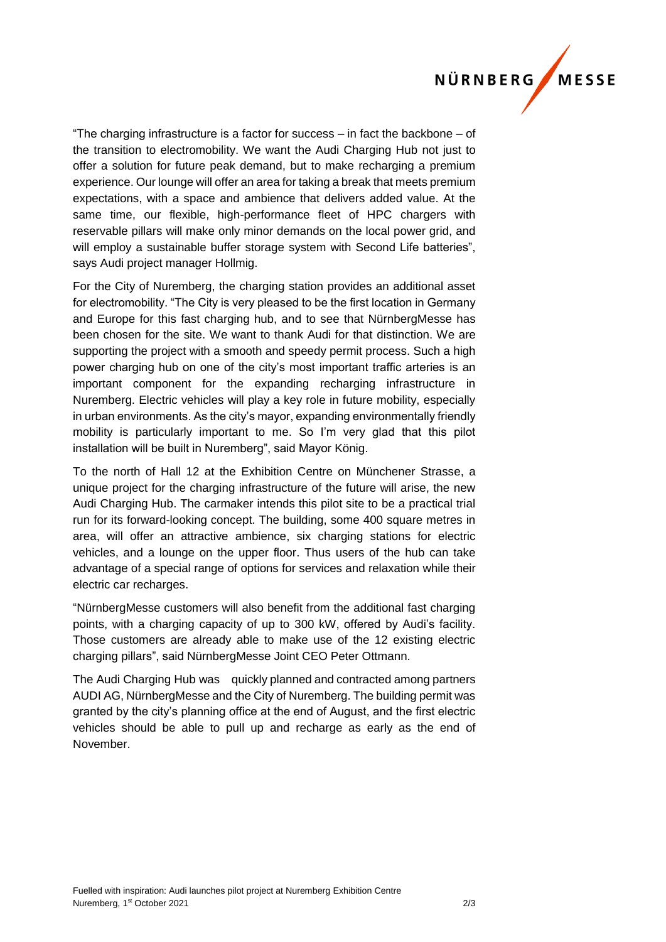## NÜRNBERG MESSE

"The charging infrastructure is a factor for success – in fact the backbone – of the transition to electromobility. We want the Audi Charging Hub not just to offer a solution for future peak demand, but to make recharging a premium experience. Our lounge will offer an area for taking a break that meets premium expectations, with a space and ambience that delivers added value. At the same time, our flexible, high-performance fleet of HPC chargers with reservable pillars will make only minor demands on the local power grid, and will employ a sustainable buffer storage system with Second Life batteries", says Audi project manager Hollmig.

For the City of Nuremberg, the charging station provides an additional asset for electromobility. "The City is very pleased to be the first location in Germany and Europe for this fast charging hub, and to see that NürnbergMesse has been chosen for the site. We want to thank Audi for that distinction. We are supporting the project with a smooth and speedy permit process. Such a high power charging hub on one of the city's most important traffic arteries is an important component for the expanding recharging infrastructure in Nuremberg. Electric vehicles will play a key role in future mobility, especially in urban environments. As the city's mayor, expanding environmentally friendly mobility is particularly important to me. So I'm very glad that this pilot installation will be built in Nuremberg", said Mayor König.

To the north of Hall 12 at the Exhibition Centre on Münchener Strasse, a unique project for the charging infrastructure of the future will arise, the new Audi Charging Hub. The carmaker intends this pilot site to be a practical trial run for its forward-looking concept. The building, some 400 square metres in area, will offer an attractive ambience, six charging stations for electric vehicles, and a lounge on the upper floor. Thus users of the hub can take advantage of a special range of options for services and relaxation while their electric car recharges.

"NürnbergMesse customers will also benefit from the additional fast charging points, with a charging capacity of up to 300 kW, offered by Audi's facility. Those customers are already able to make use of the 12 existing electric charging pillars", said NürnbergMesse Joint CEO Peter Ottmann.

The Audi Charging Hub was quickly planned and contracted among partners AUDI AG, NürnbergMesse and the City of Nuremberg. The building permit was granted by the city's planning office at the end of August, and the first electric vehicles should be able to pull up and recharge as early as the end of November.